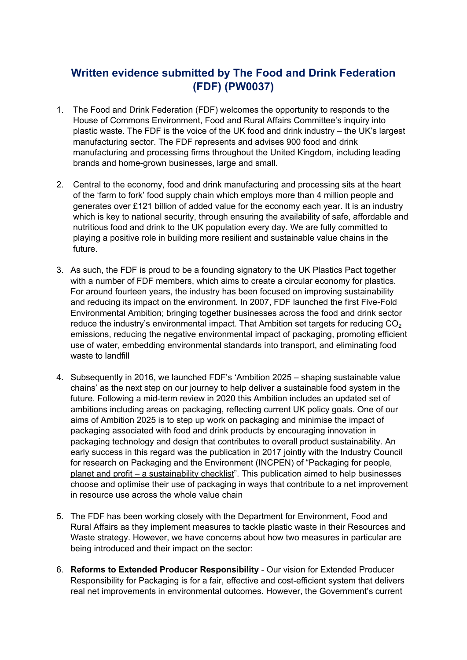# **Written evidence submitted by The Food and Drink Federation (FDF) (PW0037)**

- 1. The Food and Drink Federation (FDF) welcomes the opportunity to responds to the House of Commons Environment, Food and Rural Affairs Committee's inquiry into plastic waste. The FDF is the voice of the UK food and drink industry – the UK's largest manufacturing sector. The FDF represents and advises 900 food and drink manufacturing and processing firms throughout the United Kingdom, including leading brands and home-grown businesses, large and small.
- 2. Central to the economy, food and drink manufacturing and processing sits at the heart of the 'farm to fork' food supply chain which employs more than 4 million people and generates over £121 billion of added value for the economy each year. It is an industry which is key to national security, through ensuring the availability of safe, affordable and nutritious food and drink to the UK population every day. We are fully committed to playing a positive role in building more resilient and sustainable value chains in the future.
- 3. As such, the FDF is proud to be a founding signatory to the UK Plastics Pact together with a number of FDF members, which aims to create a circular economy for plastics. For around fourteen years, the industry has been focused on improving sustainability and reducing its impact on the environment. In 2007, FDF launched the first Five-Fold Environmental Ambition; bringing together businesses across the food and drink sector reduce the industry's environmental impact. That Ambition set targets for reducing  $CO<sub>2</sub>$ emissions, reducing the negative environmental impact of packaging, promoting efficient use of water, embedding environmental standards into transport, and eliminating food waste to landfill
- 4. Subsequently in 2016, we launched FDF's 'Ambition 2025 shaping sustainable value chains' as the next step on our journey to help deliver a sustainable food system in the future. Following a mid-term review in 2020 this Ambition includes an updated set of ambitions including areas on packaging, reflecting current UK policy goals. One of our aims of Ambition 2025 is to step up work on packaging and minimise the impact of packaging associated with food and drink products by encouraging innovation in packaging technology and design that contributes to overall product sustainability. An early success in this regard was the publication in 2017 jointly with the Industry Council for research on Packaging and the Environment (INCPEN) of "[Packaging](https://www.fdf.org.uk/globalassets/resources/publications/packaging-checklist.pdf) [for](https://www.fdf.org.uk/globalassets/resources/publications/packaging-checklist.pdf) [people,](https://www.fdf.org.uk/globalassets/resources/publications/packaging-checklist.pdf) [planet](https://www.fdf.org.uk/globalassets/resources/publications/packaging-checklist.pdf) [and](https://www.fdf.org.uk/globalassets/resources/publications/packaging-checklist.pdf) [profit](https://www.fdf.org.uk/globalassets/resources/publications/packaging-checklist.pdf) [–](https://www.fdf.org.uk/globalassets/resources/publications/packaging-checklist.pdf) [a](https://www.fdf.org.uk/globalassets/resources/publications/packaging-checklist.pdf) [sustainability](https://www.fdf.org.uk/globalassets/resources/publications/packaging-checklist.pdf) [checklist"](https://www.fdf.org.uk/globalassets/resources/publications/packaging-checklist.pdf). This publication aimed to help businesses choose and optimise their use of packaging in ways that contribute to a net improvement in resource use across the whole value chain
- 5. The FDF has been working closely with the Department for Environment, Food and Rural Affairs as they implement measures to tackle plastic waste in their Resources and Waste strategy. However, we have concerns about how two measures in particular are being introduced and their impact on the sector:
- 6. **Reforms to Extended Producer Responsibility** Our vision for Extended Producer Responsibility for Packaging is for a fair, effective and cost-efficient system that delivers real net improvements in environmental outcomes. However, the Government's current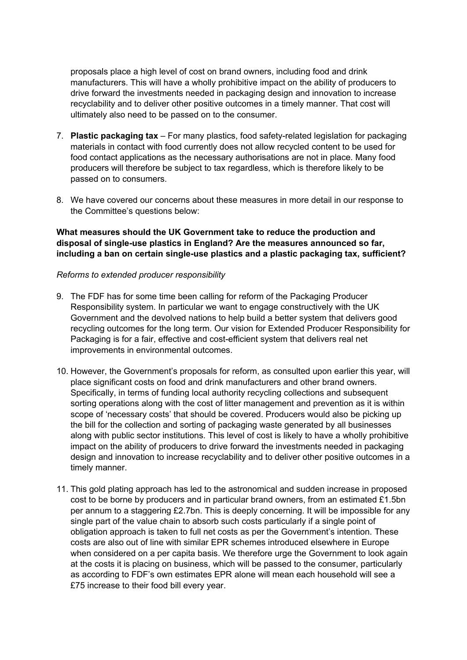proposals place a high level of cost on brand owners, including food and drink manufacturers. This will have a wholly prohibitive impact on the ability of producers to drive forward the investments needed in packaging design and innovation to increase recyclability and to deliver other positive outcomes in a timely manner. That cost will ultimately also need to be passed on to the consumer.

- 7. **Plastic packaging tax** For many plastics, food safety-related legislation for packaging materials in contact with food currently does not allow recycled content to be used for food contact applications as the necessary authorisations are not in place. Many food producers will therefore be subject to tax regardless, which is therefore likely to be passed on to consumers.
- 8. We have covered our concerns about these measures in more detail in our response to the Committee's questions below:

**What measures should the UK Government take to reduce the production and disposal of single-use plastics in England? Are the measures announced so far, including a ban on certain single-use plastics and a plastic packaging tax, sufficient?**

#### *Reforms to extended producer responsibility*

- 9. The FDF has for some time been calling for reform of the Packaging Producer Responsibility system. In particular we want to engage constructively with the UK Government and the devolved nations to help build a better system that delivers good recycling outcomes for the long term. Our vision for Extended Producer Responsibility for Packaging is for a fair, effective and cost-efficient system that delivers real net improvements in environmental outcomes.
- 10. However, the Government's proposals for reform, as consulted upon earlier this year, will place significant costs on food and drink manufacturers and other brand owners. Specifically, in terms of funding local authority recycling collections and subsequent sorting operations along with the cost of litter management and prevention as it is within scope of 'necessary costs' that should be covered. Producers would also be picking up the bill for the collection and sorting of packaging waste generated by all businesses along with public sector institutions*.* This level of cost is likely to have a wholly prohibitive impact on the ability of producers to drive forward the investments needed in packaging design and innovation to increase recyclability and to deliver other positive outcomes in a timely manner.
- 11. This gold plating approach has led to the astronomical and sudden increase in proposed cost to be borne by producers and in particular brand owners, from an estimated £1.5bn per annum to a staggering £2.7bn. This is deeply concerning. It will be impossible for any single part of the value chain to absorb such costs particularly if a single point of obligation approach is taken to full net costs as per the Government's intention. These costs are also out of line with similar EPR schemes introduced elsewhere in Europe when considered on a per capita basis. We therefore urge the Government to look again at the costs it is placing on business, which will be passed to the consumer, particularly as according to FDF's own estimates EPR alone will mean each household will see a £75 increase to their food bill every year.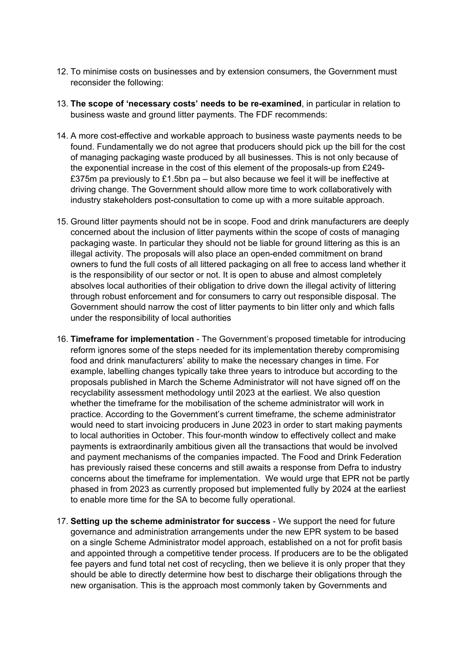- 12. To minimise costs on businesses and by extension consumers, the Government must reconsider the following:
- 13. **The scope of 'necessary costs' needs to be re-examined**, in particular in relation to business waste and ground litter payments. The FDF recommends:
- 14. A more cost-effective and workable approach to business waste payments needs to be found. Fundamentally we do not agree that producers should pick up the bill for the cost of managing packaging waste produced by all businesses. This is not only because of the exponential increase in the cost of this element of the proposals-up from £249- £375m pa previously to £1.5bn pa – but also because we feel it will be ineffective at driving change. The Government should allow more time to work collaboratively with industry stakeholders post-consultation to come up with a more suitable approach.
- 15. Ground litter payments should not be in scope. Food and drink manufacturers are deeply concerned about the inclusion of litter payments within the scope of costs of managing packaging waste. In particular they should not be liable for ground littering as this is an illegal activity. The proposals will also place an open-ended commitment on brand owners to fund the full costs of all littered packaging on all free to access land whether it is the responsibility of our sector or not. It is open to abuse and almost completely absolves local authorities of their obligation to drive down the illegal activity of littering through robust enforcement and for consumers to carry out responsible disposal. The Government should narrow the cost of litter payments to bin litter only and which falls under the responsibility of local authorities
- 16. **Timeframe for implementation** The Government's proposed timetable for introducing reform ignores some of the steps needed for its implementation thereby compromising food and drink manufacturers' ability to make the necessary changes in time. For example, labelling changes typically take three years to introduce but according to the proposals published in March the Scheme Administrator will not have signed off on the recyclability assessment methodology until 2023 at the earliest. We also question whether the timeframe for the mobilisation of the scheme administrator will work in practice. According to the Government's current timeframe, the scheme administrator would need to start invoicing producers in June 2023 in order to start making payments to local authorities in October. This four-month window to effectively collect and make payments is extraordinarily ambitious given all the transactions that would be involved and payment mechanisms of the companies impacted. The Food and Drink Federation has previously raised these concerns and still awaits a response from Defra to industry concerns about the timeframe for implementation. We would urge that EPR not be partly phased in from 2023 as currently proposed but implemented fully by 2024 at the earliest to enable more time for the SA to become fully operational.
- 17. **Setting up the scheme administrator for success** We support the need for future governance and administration arrangements under the new EPR system to be based on a single Scheme Administrator model approach, established on a not for profit basis and appointed through a competitive tender process. If producers are to be the obligated fee payers and fund total net cost of recycling, then we believe it is only proper that they should be able to directly determine how best to discharge their obligations through the new organisation. This is the approach most commonly taken by Governments and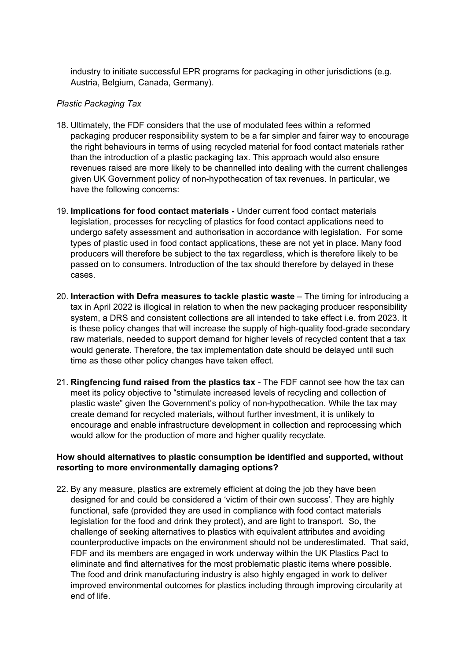industry to initiate successful EPR programs for packaging in other jurisdictions (e.g. Austria, Belgium, Canada, Germany).

#### *Plastic Packaging Tax*

- 18. Ultimately, the FDF considers that the use of modulated fees within a reformed packaging producer responsibility system to be a far simpler and fairer way to encourage the right behaviours in terms of using recycled material for food contact materials rather than the introduction of a plastic packaging tax. This approach would also ensure revenues raised are more likely to be channelled into dealing with the current challenges given UK Government policy of non-hypothecation of tax revenues. In particular, we have the following concerns:
- 19. **Implications for food contact materials -** Under current food contact materials legislation, processes for recycling of plastics for food contact applications need to undergo safety assessment and authorisation in accordance with legislation. For some types of plastic used in food contact applications, these are not yet in place. Many food producers will therefore be subject to the tax regardless, which is therefore likely to be passed on to consumers. Introduction of the tax should therefore by delayed in these cases.
- 20. **Interaction with Defra measures to tackle plastic waste** The timing for introducing a tax in April 2022 is illogical in relation to when the new packaging producer responsibility system, a DRS and consistent collections are all intended to take effect i.e. from 2023. It is these policy changes that will increase the supply of high-quality food-grade secondary raw materials, needed to support demand for higher levels of recycled content that a tax would generate. Therefore, the tax implementation date should be delayed until such time as these other policy changes have taken effect.
- 21. **Ringfencing fund raised from the plastics tax** The FDF cannot see how the tax can meet its policy objective to "stimulate increased levels of recycling and collection of plastic waste" given the Government's policy of non-hypothecation. While the tax may create demand for recycled materials, without further investment, it is unlikely to encourage and enable infrastructure development in collection and reprocessing which would allow for the production of more and higher quality recyclate.

## **How should alternatives to plastic consumption be identified and supported, without resorting to more environmentally damaging options?**

22. By any measure, plastics are extremely efficient at doing the job they have been designed for and could be considered a 'victim of their own success'. They are highly functional, safe (provided they are used in compliance with food contact materials legislation for the food and drink they protect), and are light to transport. So, the challenge of seeking alternatives to plastics with equivalent attributes and avoiding counterproductive impacts on the environment should not be underestimated. That said, FDF and its members are engaged in work underway within the UK Plastics Pact to eliminate and find alternatives for the most problematic plastic items where possible. The food and drink manufacturing industry is also highly engaged in work to deliver improved environmental outcomes for plastics including through improving circularity at end of life.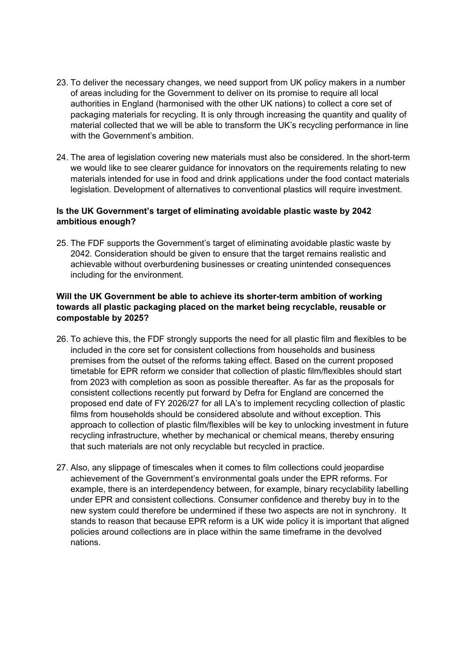- 23. To deliver the necessary changes, we need support from UK policy makers in a number of areas including for the Government to deliver on its promise to require all local authorities in England (harmonised with the other UK nations) to collect a core set of packaging materials for recycling. It is only through increasing the quantity and quality of material collected that we will be able to transform the UK's recycling performance in line with the Government's ambition.
- 24. The area of legislation covering new materials must also be considered. In the short-term we would like to see clearer guidance for innovators on the requirements relating to new materials intended for use in food and drink applications under the food contact materials legislation. Development of alternatives to conventional plastics will require investment.

# **Is the UK Government's target of eliminating avoidable plastic waste by 2042 ambitious enough?**

25. The FDF supports the Government's target of eliminating avoidable plastic waste by 2042. Consideration should be given to ensure that the target remains realistic and achievable without overburdening businesses or creating unintended consequences including for the environment.

# **Will the UK Government be able to achieve its shorter-term ambition of working towards all plastic packaging placed on the market being recyclable, reusable or compostable by 2025?**

- 26. To achieve this, the FDF strongly supports the need for all plastic film and flexibles to be included in the core set for consistent collections from households and business premises from the outset of the reforms taking effect. Based on the current proposed timetable for EPR reform we consider that collection of plastic film/flexibles should start from 2023 with completion as soon as possible thereafter. As far as the proposals for consistent collections recently put forward by Defra for England are concerned the proposed end date of FY 2026/27 for all LA's to implement recycling collection of plastic films from households should be considered absolute and without exception. This approach to collection of plastic film/flexibles will be key to unlocking investment in future recycling infrastructure, whether by mechanical or chemical means, thereby ensuring that such materials are not only recyclable but recycled in practice.
- 27. Also, any slippage of timescales when it comes to film collections could jeopardise achievement of the Government's environmental goals under the EPR reforms. For example, there is an interdependency between, for example, binary recyclability labelling under EPR and consistent collections. Consumer confidence and thereby buy in to the new system could therefore be undermined if these two aspects are not in synchrony. It stands to reason that because EPR reform is a UK wide policy it is important that aligned policies around collections are in place within the same timeframe in the devolved nations.